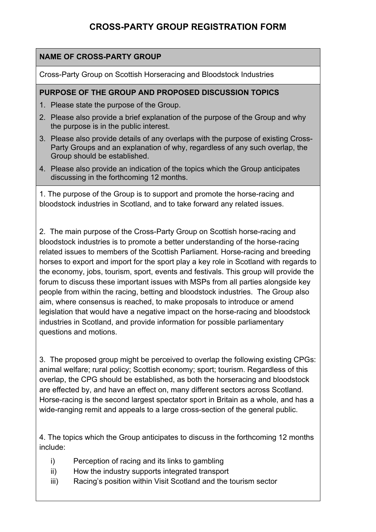# **CROSS-PARTY GROUP REGISTRATION FORM**

#### **NAME OF CROSS-PARTY GROUP**

Cross-Party Group on Scottish Horseracing and Bloodstock Industries

#### **PURPOSE OF THE GROUP AND PROPOSED DISCUSSION TOPICS**

- 1. Please state the purpose of the Group.
- 2. Please also provide a brief explanation of the purpose of the Group and why the purpose is in the public interest.
- 3. Please also provide details of any overlaps with the purpose of existing Cross-Party Groups and an explanation of why, regardless of any such overlap, the Group should be established.
- 4. Please also provide an indication of the topics which the Group anticipates discussing in the forthcoming 12 months.

1. The purpose of the Group is to support and promote the horse-racing and bloodstock industries in Scotland, and to take forward any related issues.

2. The main purpose of the Cross-Party Group on Scottish horse-racing and bloodstock industries is to promote a better understanding of the horse-racing related issues to members of the Scottish Parliament. Horse-racing and breeding horses to export and import for the sport play a key role in Scotland with regards to the economy, jobs, tourism, sport, events and festivals. This group will provide the forum to discuss these important issues with MSPs from all parties alongside key people from within the racing, betting and bloodstock industries. The Group also aim, where consensus is reached, to make proposals to introduce or amend legislation that would have a negative impact on the horse-racing and bloodstock industries in Scotland, and provide information for possible parliamentary questions and motions.

3. The proposed group might be perceived to overlap the following existing CPGs: animal welfare; rural policy; Scottish economy; sport; tourism. Regardless of this overlap, the CPG should be established, as both the horseracing and bloodstock are effected by, and have an effect on, many different sectors across Scotland. Horse-racing is the second largest spectator sport in Britain as a whole, and has a wide-ranging remit and appeals to a large cross-section of the general public.

4. The topics which the Group anticipates to discuss in the forthcoming 12 months include:

- i) Perception of racing and its links to gambling
- ii) How the industry supports integrated transport
- iii) Racing's position within Visit Scotland and the tourism sector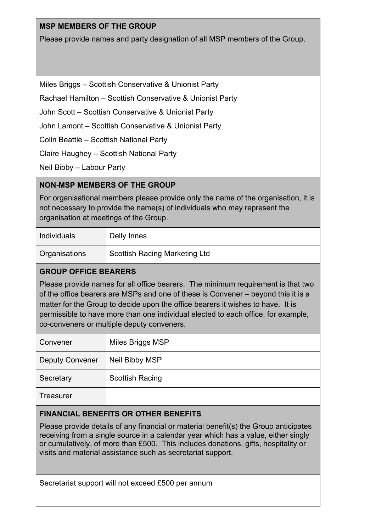#### **MSP MEMBERS OF THE GROUP**

Please provide names and party designation of all MSP members of the Group.

Miles Briggs – Scottish Conservative & Unionist Party

Rachael Hamilton – Scottish Conservative & Unionist Party

John Scott – Scottish Conservative & Unionist Party

John Lamont – Scottish Conservative & Unionist Party

Colin Beattie – Scottish National Party

Claire Haughey – Scottish National Party

Neil Bibby – Labour Party

### **NON-MSP MEMBERS OF THE GROUP**

For organisational members please provide only the name of the organisation, it is not necessary to provide the name(s) of individuals who may represent the organisation at meetings of the Group.

| <b>Individuals</b> | Delly Innes                          |
|--------------------|--------------------------------------|
| Organisations      | <b>Scottish Racing Marketing Ltd</b> |

### **GROUP OFFICE BEARERS**

Please provide names for all office bearers. The minimum requirement is that two of the office bearers are MSPs and one of these is Convener – beyond this it is a matter for the Group to decide upon the office bearers it wishes to have. It is permissible to have more than one individual elected to each office, for example, co-conveners or multiple deputy conveners.

| Convener               | Miles Briggs MSP       |
|------------------------|------------------------|
| <b>Deputy Convener</b> | Neil Bibby MSP         |
| Secretary              | <b>Scottish Racing</b> |
| Treasurer              |                        |

#### **FINANCIAL BENEFITS OR OTHER BENEFITS**

Please provide details of any financial or material benefit(s) the Group anticipates receiving from a single source in a calendar year which has a value, either singly or cumulatively, of more than £500. This includes donations, gifts, hospitality or visits and material assistance such as secretariat support.

Secretariat support will not exceed £500 per annum